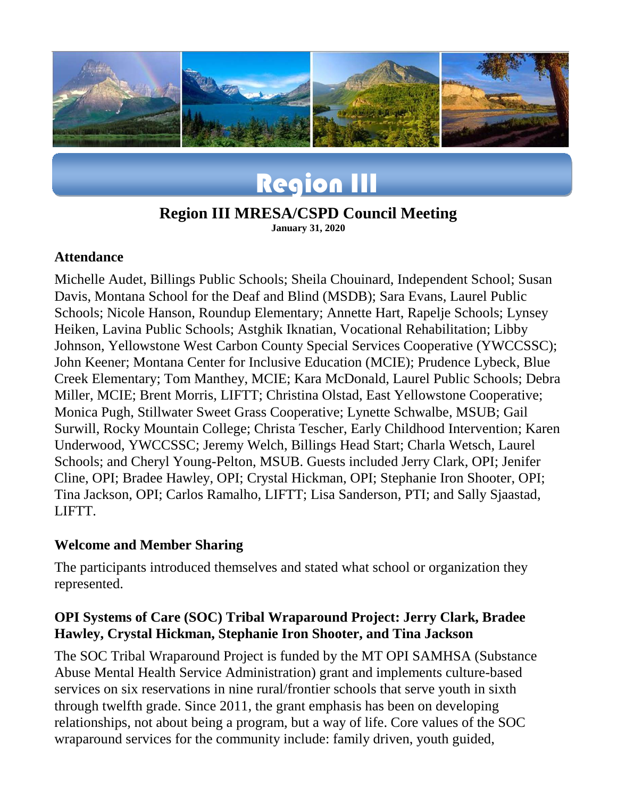

# Region III

# **Region III MRESA/CSPD Council Meeting**

**January 31, 2020**

#### **Attendance**

Michelle Audet, Billings Public Schools; Sheila Chouinard, Independent School; Susan Davis, Montana School for the Deaf and Blind (MSDB); Sara Evans, Laurel Public Schools; Nicole Hanson, Roundup Elementary; Annette Hart, Rapelje Schools; Lynsey Heiken, Lavina Public Schools; Astghik Iknatian, Vocational Rehabilitation; Libby Johnson, Yellowstone West Carbon County Special Services Cooperative (YWCCSSC); John Keener; Montana Center for Inclusive Education (MCIE); Prudence Lybeck, Blue Creek Elementary; Tom Manthey, MCIE; Kara McDonald, Laurel Public Schools; Debra Miller, MCIE; Brent Morris, LIFTT; Christina Olstad, East Yellowstone Cooperative; Monica Pugh, Stillwater Sweet Grass Cooperative; Lynette Schwalbe, MSUB; Gail Surwill, Rocky Mountain College; Christa Tescher, Early Childhood Intervention; Karen Underwood, YWCCSSC; Jeremy Welch, Billings Head Start; Charla Wetsch, Laurel Schools; and Cheryl Young-Pelton, MSUB. Guests included Jerry Clark, OPI; Jenifer Cline, OPI; Bradee Hawley, OPI; Crystal Hickman, OPI; Stephanie Iron Shooter, OPI; Tina Jackson, OPI; Carlos Ramalho, LIFTT; Lisa Sanderson, PTI; and Sally Sjaastad, LIFTT.

#### **Welcome and Member Sharing**

The participants introduced themselves and stated what school or organization they represented.

#### **OPI Systems of Care (SOC) Tribal Wraparound Project: Jerry Clark, Bradee Hawley, Crystal Hickman, Stephanie Iron Shooter, and Tina Jackson**

The SOC Tribal Wraparound Project is funded by the MT OPI SAMHSA (Substance Abuse Mental Health Service Administration) grant and implements culture-based services on six reservations in nine rural/frontier schools that serve youth in sixth through twelfth grade. Since 2011, the grant emphasis has been on developing relationships, not about being a program, but a way of life. Core values of the SOC wraparound services for the community include: family driven, youth guided,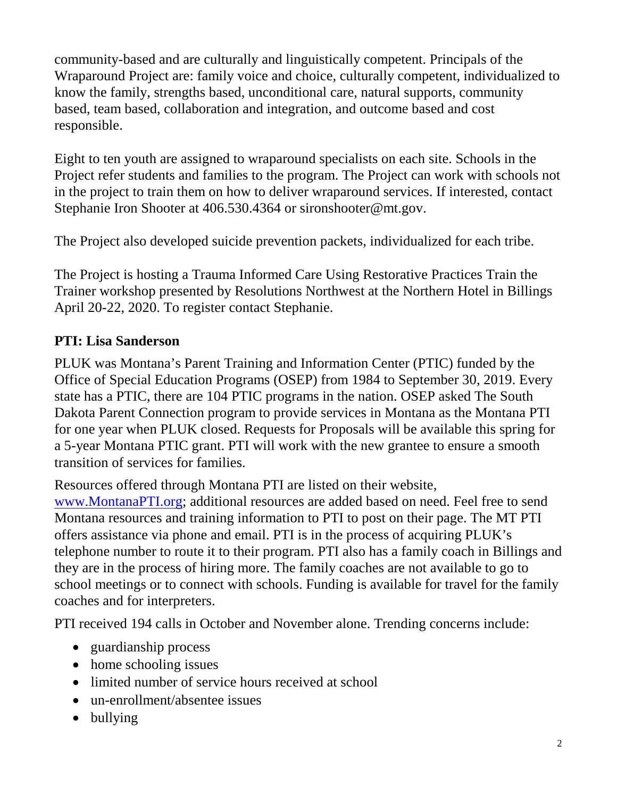community-based and are culturally and linguistically competent. Principals of the Wraparound Project are: family voice and choice, culturally competent, individualized to know the family, strengths based, unconditional care, natural supports, community based, team based, collaboration and integration, and outcome based and cost responsible.

Eight to ten youth are assigned to wraparound specialists on each site. Schools in the Project refer students and families to the program. The Project can work with schools not in the project to train them on how to deliver wraparound services. If interested, contact Stephanie Iron Shooter at 406.530.4364 or sironshooter@mt.gov.

The Project also developed suicide prevention packets, individualized for each tribe.

The Project is hosting a Trauma Informed Care Using Restorative Practices Train the Trainer workshop presented by Resolutions Northwest at the Northern Hotel in Billings April 20-22, 2020. To register contact Stephanie.

#### **PTI: Lisa Sanderson**

PLUK was Montana's Parent Training and Information Center (PTIC) funded by the Office of Special Education Programs (OSEP) from 1984 to September 30, 2019. Every state has a PTIC, there are 104 PTIC programs in the nation. OSEP asked The South Dakota Parent Connection program to provide services in Montana as the Montana PTI for one year when PLUK closed. Requests for Proposals will be available this spring for a 5-year Montana PTIC grant. PTI will work with the new grantee to ensure a smooth transition of services for families.

Resources offered through Montana PTI are listed on their website,

[www.MontanaPTI.org;](http://www.montanapti.org/) additional resources are added based on need. Feel free to send Montana resources and training information to PTI to post on their page. The MT PTI offers assistance via phone and email. PTI is in the process of acquiring PLUK's telephone number to route it to their program. PTI also has a family coach in Billings and they are in the process of hiring more. The family coaches are not available to go to school meetings or to connect with schools. Funding is available for travel for the family coaches and for interpreters.

PTI received 194 calls in October and November alone. Trending concerns include:

- guardianship process
- home schooling issues
- limited number of service hours received at school
- un-enrollment/absentee issues
- bullying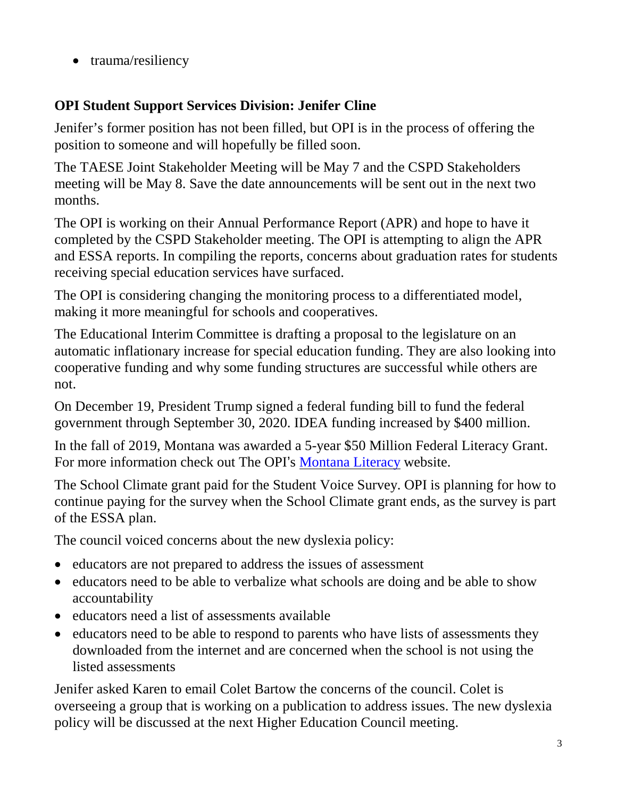• trauma/resiliency

## **OPI Student Support Services Division: Jenifer Cline**

Jenifer's former position has not been filled, but OPI is in the process of offering the position to someone and will hopefully be filled soon.

The TAESE Joint Stakeholder Meeting will be May 7 and the CSPD Stakeholders meeting will be May 8. Save the date announcements will be sent out in the next two months.

The OPI is working on their Annual Performance Report (APR) and hope to have it completed by the CSPD Stakeholder meeting. The OPI is attempting to align the APR and ESSA reports. In compiling the reports, concerns about graduation rates for students receiving special education services have surfaced.

The OPI is considering changing the monitoring process to a differentiated model, making it more meaningful for schools and cooperatives.

The Educational Interim Committee is drafting a proposal to the legislature on an automatic inflationary increase for special education funding. They are also looking into cooperative funding and why some funding structures are successful while others are not.

On December 19, President Trump signed a federal funding bill to fund the federal government through September 30, 2020. IDEA funding increased by \$400 million.

In the fall of 2019, Montana was awarded a 5-year \$50 Million Federal Literacy Grant. For more information check out The OPI's [Montana Literacy](http://opi.mt.gov/Leadership/Academic-Success/Title-Other-Federal-Programs/Montana-Literacy-Projects) website.

The School Climate grant paid for the Student Voice Survey. OPI is planning for how to continue paying for the survey when the School Climate grant ends, as the survey is part of the ESSA plan.

The council voiced concerns about the new dyslexia policy:

- educators are not prepared to address the issues of assessment
- educators need to be able to verbalize what schools are doing and be able to show accountability
- educators need a list of assessments available
- educators need to be able to respond to parents who have lists of assessments they downloaded from the internet and are concerned when the school is not using the listed assessments

Jenifer asked Karen to email Colet Bartow the concerns of the council. Colet is overseeing a group that is working on a publication to address issues. The new dyslexia policy will be discussed at the next Higher Education Council meeting.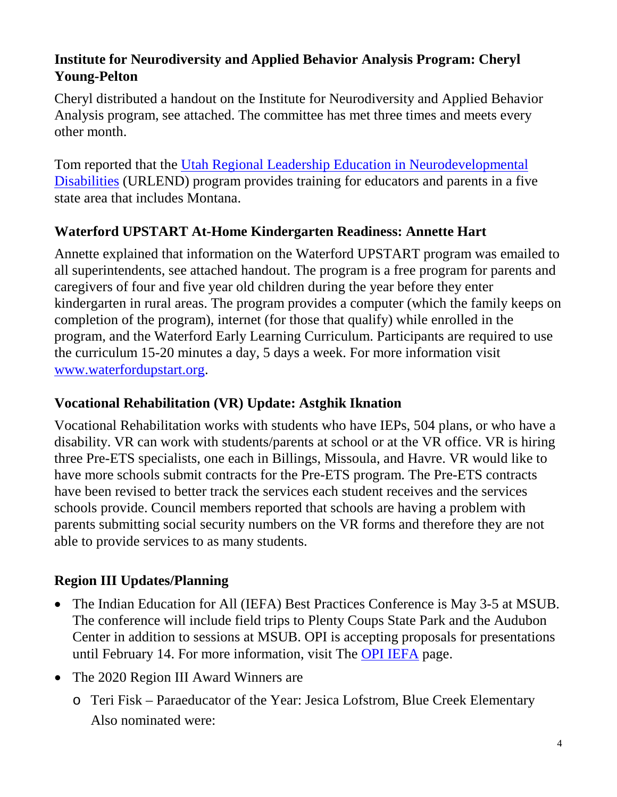## **Institute for Neurodiversity and Applied Behavior Analysis Program: Cheryl Young-Pelton**

Cheryl distributed a handout on the Institute for Neurodiversity and Applied Behavior Analysis program, see attached. The committee has met three times and meets every other month.

Tom reported that the [Utah Regional Leadership Education in Neurodevelopmental](http://urlend.org/)  [Disabilities](http://urlend.org/) (URLEND) program provides training for educators and parents in a five state area that includes Montana.

# **Waterford UPSTART At-Home Kindergarten Readiness: Annette Hart**

Annette explained that information on the Waterford UPSTART program was emailed to all superintendents, see attached handout. The program is a free program for parents and caregivers of four and five year old children during the year before they enter kindergarten in rural areas. The program provides a computer (which the family keeps on completion of the program), internet (for those that qualify) while enrolled in the program, and the Waterford Early Learning Curriculum. Participants are required to use the curriculum 15-20 minutes a day, 5 days a week. For more information visit [www.waterfordupstart.org.](http://www.waterfordupstart.org/)

## **Vocational Rehabilitation (VR) Update: Astghik Iknation**

Vocational Rehabilitation works with students who have IEPs, 504 plans, or who have a disability. VR can work with students/parents at school or at the VR office. VR is hiring three Pre-ETS specialists, one each in Billings, Missoula, and Havre. VR would like to have more schools submit contracts for the Pre-ETS program. The Pre-ETS contracts have been revised to better track the services each student receives and the services schools provide. Council members reported that schools are having a problem with parents submitting social security numbers on the VR forms and therefore they are not able to provide services to as many students.

# **Region III Updates/Planning**

- The Indian Education for All (IEFA) Best Practices Conference is May 3-5 at MSUB. The conference will include field trips to Plenty Coups State Park and the Audubon Center in addition to sessions at MSUB. OPI is accepting proposals for presentations until February 14. For more information, visit The [OPI IEFA](http://opi.mt.gov/Educators/Teaching-Learning/Indian-Education-for-All/Upcoming-Events-PD-Opportunities#IEFABest) page.
- The 2020 Region III Award Winners are
	- o Teri Fisk Paraeducator of the Year: Jesica Lofstrom, Blue Creek Elementary Also nominated were: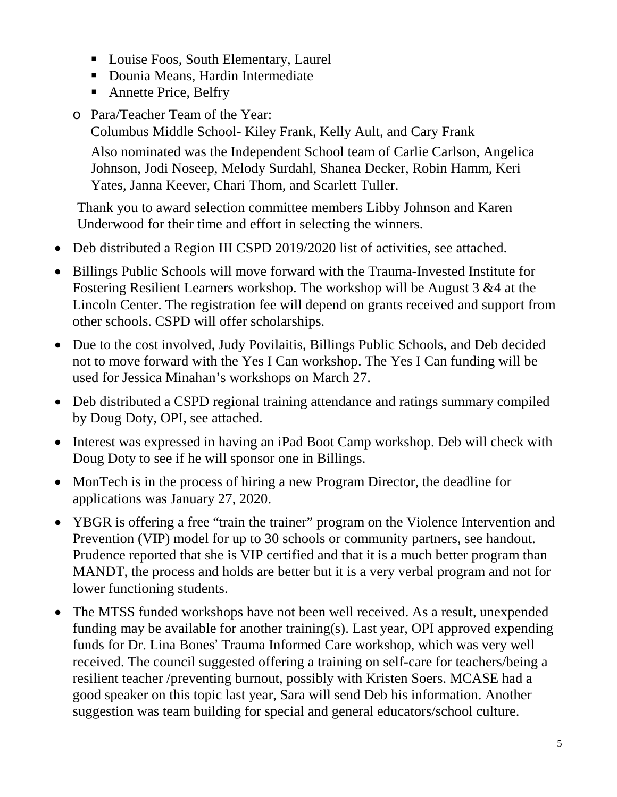- Louise Foos, South Elementary, Laurel
- Dounia Means, Hardin Intermediate
- **Annette Price, Belfry**
- o Para/Teacher Team of the Year:

Columbus Middle School- Kiley Frank, Kelly Ault, and Cary Frank

Also nominated was the Independent School team of Carlie Carlson, Angelica Johnson, Jodi Noseep, Melody Surdahl, Shanea Decker, Robin Hamm, Keri Yates, Janna Keever, Chari Thom, and Scarlett Tuller.

Thank you to award selection committee members Libby Johnson and Karen Underwood for their time and effort in selecting the winners.

- Deb distributed a Region III CSPD 2019/2020 list of activities, see attached.
- Billings Public Schools will move forward with the Trauma-Invested Institute for Fostering Resilient Learners workshop. The workshop will be August 3 &4 at the Lincoln Center. The registration fee will depend on grants received and support from other schools. CSPD will offer scholarships.
- Due to the cost involved, Judy Povilaitis, Billings Public Schools, and Deb decided not to move forward with the Yes I Can workshop. The Yes I Can funding will be used for Jessica Minahan's workshops on March 27.
- Deb distributed a CSPD regional training attendance and ratings summary compiled by Doug Doty, OPI, see attached.
- Interest was expressed in having an iPad Boot Camp workshop. Deb will check with Doug Doty to see if he will sponsor one in Billings.
- MonTech is in the process of hiring a new Program Director, the deadline for applications was January 27, 2020.
- YBGR is offering a free "train the trainer" program on the Violence Intervention and Prevention (VIP) model for up to 30 schools or community partners, see handout. Prudence reported that she is VIP certified and that it is a much better program than MANDT, the process and holds are better but it is a very verbal program and not for lower functioning students.
- The MTSS funded workshops have not been well received. As a result, unexpended funding may be available for another training(s). Last year, OPI approved expending funds for Dr. Lina Bones' Trauma Informed Care workshop, which was very well received. The council suggested offering a training on self-care for teachers/being a resilient teacher /preventing burnout, possibly with Kristen Soers. MCASE had a good speaker on this topic last year, Sara will send Deb his information. Another suggestion was team building for special and general educators/school culture.